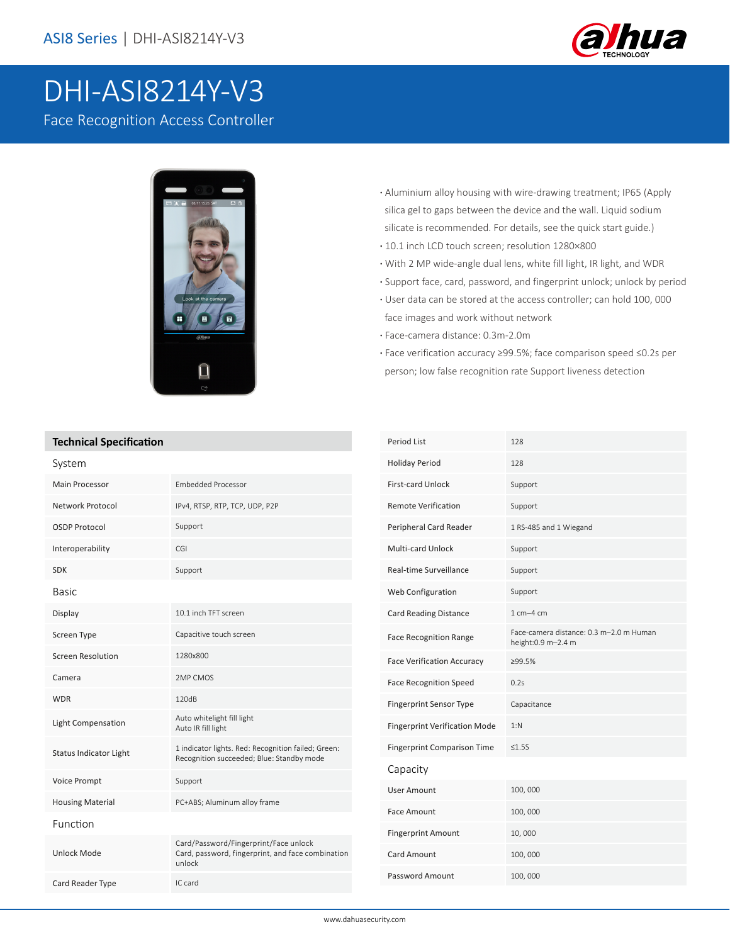

# DHI-ASI8214Y-V3

Face Recognition Access Controller



- **·** Aluminium alloy housing with wire-drawing treatment; IP65 (Apply silica gel to gaps between the device and the wall. Liquid sodium silicate is recommended. For details, see the quick start guide.)
- **·** 10.1 inch LCD touch screen; resolution 1280×800
- **·** With 2 MP wide-angle dual lens, white fill light, IR light, and WDR
- **·** Support face, card, password, and fingerprint unlock; unlock by period
- **·** User data can be stored at the access controller; can hold 100, 000 face images and work without network
- **·** Face-camera distance: 0.3m-2.0m

Period List 128

**·** Face verification accuracy ≥99.5%; face comparison speed ≤0.2s per person; low false recognition rate Support liveness detection

#### **Technical Specification**

| System                        |                                                                                                      |
|-------------------------------|------------------------------------------------------------------------------------------------------|
| <b>Main Processor</b>         | <b>Embedded Processor</b>                                                                            |
| Network Protocol              | IPv4, RTSP, RTP, TCP, UDP, P2P                                                                       |
| OSDP Protocol                 | Support                                                                                              |
| Interoperability              | CGI                                                                                                  |
| <b>SDK</b>                    | Support                                                                                              |
| <b>Basic</b>                  |                                                                                                      |
| Display                       | 10.1 inch TFT screen                                                                                 |
| Screen Type                   | Capacitive touch screen                                                                              |
| Screen Resolution             | 1280x800                                                                                             |
| Camera                        | 2MP CMOS                                                                                             |
| <b>WDR</b>                    | 120dB                                                                                                |
| <b>Light Compensation</b>     | Auto whitelight fill light<br>Auto IR fill light                                                     |
| <b>Status Indicator Light</b> | 1 indicator lights. Red: Recognition failed; Green:<br>Recognition succeeded; Blue: Standby mode     |
| Voice Prompt                  | Support                                                                                              |
| <b>Housing Material</b>       | PC+ABS; Aluminum alloy frame                                                                         |
| Function                      |                                                                                                      |
| <b>Unlock Mode</b>            | Card/Password/Fingerprint/Face unlock<br>Card, password, fingerprint, and face combination<br>unlock |
| Card Reader Type              | IC card                                                                                              |
|                               |                                                                                                      |

| ᅩㄥO                                                           |
|---------------------------------------------------------------|
| 128                                                           |
| Support                                                       |
| Support                                                       |
| 1 RS-485 and 1 Wiegand                                        |
| Support                                                       |
| Support                                                       |
| Support                                                       |
| $1 cm - 4 cm$                                                 |
| Face-camera distance: 0.3 m-2.0 m Human<br>height:0.9 m-2.4 m |
| ≥99.5%                                                        |
| 0.2s                                                          |
| Capacitance                                                   |
| 1:N                                                           |
| $\leq 1.5S$                                                   |
|                                                               |
| 100,000                                                       |
| 100,000                                                       |
| 10,000                                                        |
| 100,000                                                       |
| 100,000                                                       |
|                                                               |